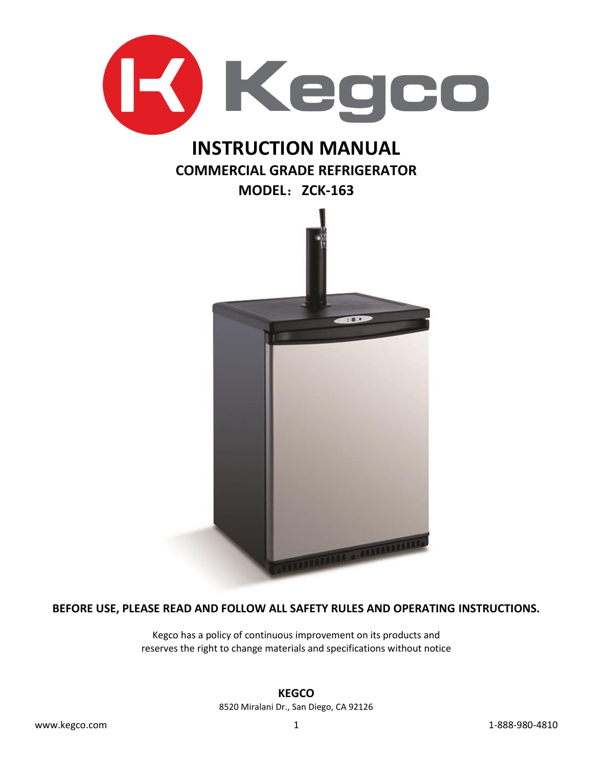

**BEFORE USE, PLEASE READ AND FOLLOW ALL SAFETY RULES AND OPERATING INSTRUCTIONS.**

Kegco has a policy of continuous improvement on its products and reserves the right to change materials and specifications without notice

#### **KEGCO**

8520 Miralani Dr., San Diego, CA 92126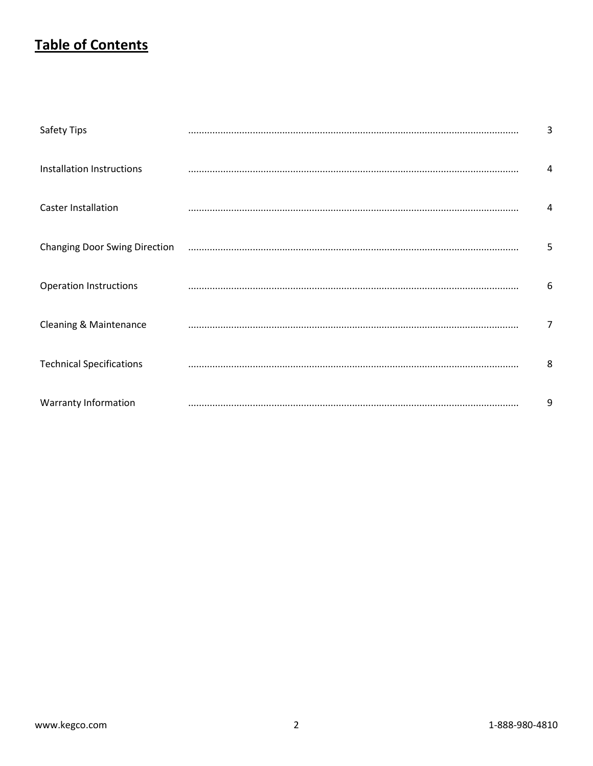### **Table of Contents**

| <b>Safety Tips</b>                   | 3 |
|--------------------------------------|---|
| Installation Instructions            | 4 |
| <b>Caster Installation</b>           | 4 |
| <b>Changing Door Swing Direction</b> | 5 |
| <b>Operation Instructions</b>        | 6 |
| Cleaning & Maintenance               | 7 |
| <b>Technical Specifications</b>      | 8 |
| <b>Warranty Information</b>          | 9 |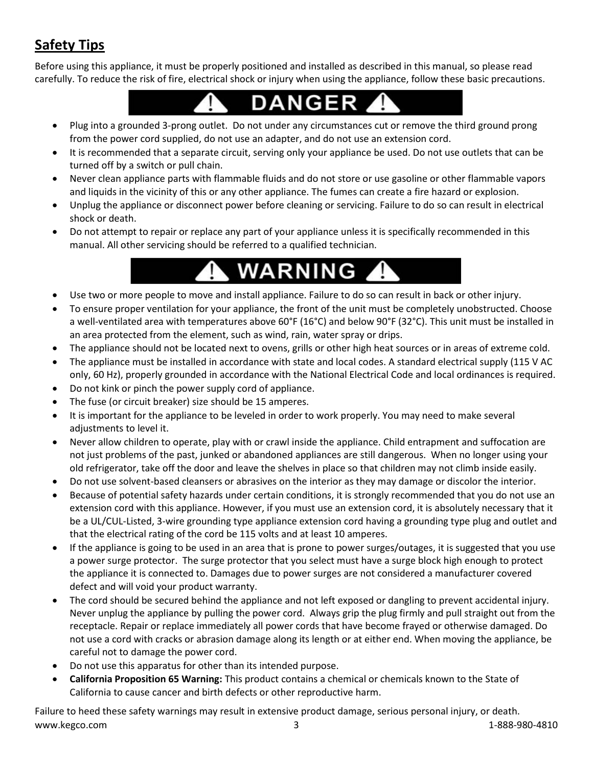## **Safety Tips**

Before using this appliance, it must be properly positioned and installed as described in this manual, so please read carefully. To reduce the risk of fire, electrical shock or injury when using the appliance, follow these basic precautions.

- DANGER т
- Plug into a grounded 3-prong outlet. Do not under any circumstances cut or remove the third ground prong from the power cord supplied, do not use an adapter, and do not use an extension cord.
- It is recommended that a separate circuit, serving only your appliance be used. Do not use outlets that can be turned off by a switch or pull chain.
- Never clean appliance parts with flammable fluids and do not store or use gasoline or other flammable vapors and liquids in the vicinity of this or any other appliance. The fumes can create a fire hazard or explosion.
- Unplug the appliance or disconnect power before cleaning or servicing. Failure to do so can result in electrical shock or death.
- Do not attempt to repair or replace any part of your appliance unless it is specifically recommended in this manual. All other servicing should be referred to a qualified technician.

# **WARNING**

- Use two or more people to move and install appliance. Failure to do so can result in back or other injury.
- To ensure proper ventilation for your appliance, the front of the unit must be completely unobstructed. Choose a well-ventilated area with temperatures above 60°F (16°C) and below 90°F (32°C). This unit must be installed in an area protected from the element, such as wind, rain, water spray or drips.
- The appliance should not be located next to ovens, grills or other high heat sources or in areas of extreme cold.
- The appliance must be installed in accordance with state and local codes. A standard electrical supply (115 V AC only, 60 Hz), properly grounded in accordance with the National Electrical Code and local ordinances is required.
- Do not kink or pinch the power supply cord of appliance.
- The fuse (or circuit breaker) size should be 15 amperes.
- It is important for the appliance to be leveled in order to work properly. You may need to make several adjustments to level it.
- Never allow children to operate, play with or crawl inside the appliance. Child entrapment and suffocation are not just problems of the past, junked or abandoned appliances are still dangerous. When no longer using your old refrigerator, take off the door and leave the shelves in place so that children may not climb inside easily.
- Do not use solvent-based cleansers or abrasives on the interior as they may damage or discolor the interior.
- Because of potential safety hazards under certain conditions, it is strongly recommended that you do not use an extension cord with this appliance. However, if you must use an extension cord, it is absolutely necessary that it be a UL/CUL-Listed, 3-wire grounding type appliance extension cord having a grounding type plug and outlet and that the electrical rating of the cord be 115 volts and at least 10 amperes.
- If the appliance is going to be used in an area that is prone to power surges/outages, it is suggested that you use a power surge protector. The surge protector that you select must have a surge block high enough to protect the appliance it is connected to. Damages due to power surges are not considered a manufacturer covered defect and will void your product warranty.
- The cord should be secured behind the appliance and not left exposed or dangling to prevent accidental injury. Never unplug the appliance by pulling the power cord. Always grip the plug firmly and pull straight out from the receptacle. Repair or replace immediately all power cords that have become frayed or otherwise damaged. Do not use a cord with cracks or abrasion damage along its length or at either end. When moving the appliance, be careful not to damage the power cord.
- Do not use this apparatus for other than its intended purpose.
- **California Proposition 65 Warning:** This product contains a chemical or chemicals known to the State of California to cause cancer and birth defects or other reproductive harm.

www.kegco.com 3 1-888-980-4810 Failure to heed these safety warnings may result in extensive product damage, serious personal injury, or death.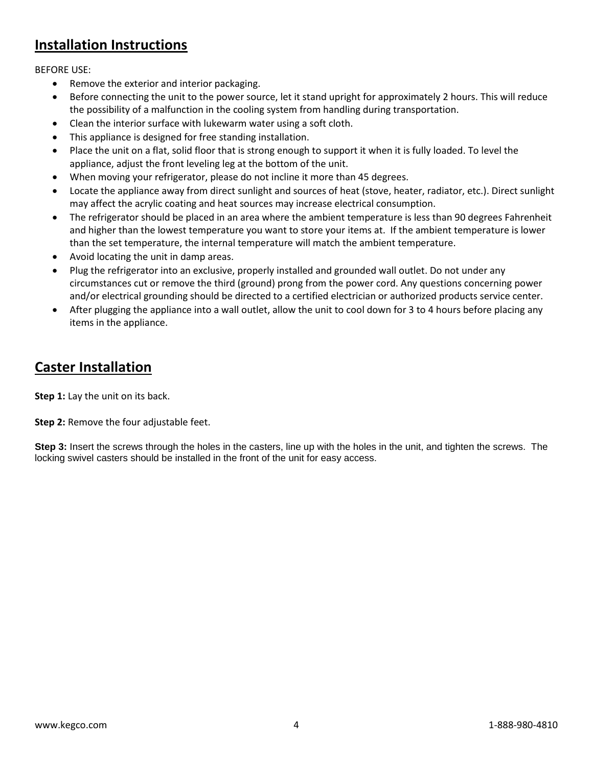### **Installation Instructions**

BEFORE USE:

- Remove the exterior and interior packaging.
- Before connecting the unit to the power source, let it stand upright for approximately 2 hours. This will reduce the possibility of a malfunction in the cooling system from handling during transportation.
- Clean the interior surface with lukewarm water using a soft cloth.
- This appliance is designed for free standing installation.
- Place the unit on a flat, solid floor that is strong enough to support it when it is fully loaded. To level the appliance, adjust the front leveling leg at the bottom of the unit.
- When moving your refrigerator, please do not incline it more than 45 degrees.
- Locate the appliance away from direct sunlight and sources of heat (stove, heater, radiator, etc.). Direct sunlight may affect the acrylic coating and heat sources may increase electrical consumption.
- The refrigerator should be placed in an area where the ambient temperature is less than 90 degrees Fahrenheit and higher than the lowest temperature you want to store your items at. If the ambient temperature is lower than the set temperature, the internal temperature will match the ambient temperature.
- Avoid locating the unit in damp areas.
- Plug the refrigerator into an exclusive, properly installed and grounded wall outlet. Do not under any circumstances cut or remove the third (ground) prong from the power cord. Any questions concerning power and/or electrical grounding should be directed to a certified electrician or authorized products service center.
- After plugging the appliance into a wall outlet, allow the unit to cool down for 3 to 4 hours before placing any items in the appliance.

### **Caster Installation**

**Step 1:** Lay the unit on its back.

#### **Step 2:** Remove the four adjustable feet.

**Step 3:** Insert the screws through the holes in the casters, line up with the holes in the unit, and tighten the screws. The locking swivel casters should be installed in the front of the unit for easy access.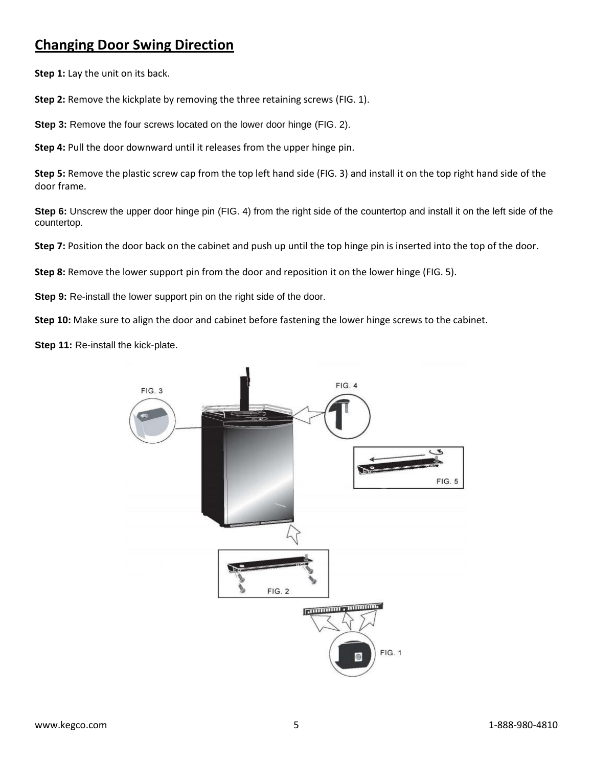### **Changing Door Swing Direction**

**Step 1:** Lay the unit on its back.

**Step 2:** Remove the kickplate by removing the three retaining screws (FIG. 1).

**Step 3:** Remove the four screws located on the lower door hinge (FIG. 2).

**Step 4:** Pull the door downward until it releases from the upper hinge pin.

**Step 5:** Remove the plastic screw cap from the top left hand side (FIG. 3) and install it on the top right hand side of the door frame.

**Step 6:** Unscrew the upper door hinge pin (FIG. 4) from the right side of the countertop and install it on the left side of the countertop.

**Step 7:** Position the door back on the cabinet and push up until the top hinge pin is inserted into the top of the door.

**Step 8:** Remove the lower support pin from the door and reposition it on the lower hinge (FIG. 5).

**Step 9:** Re-install the lower support pin on the right side of the door.

**Step 10:** Make sure to align the door and cabinet before fastening the lower hinge screws to the cabinet.

**Step 11:** Re-install the kick-plate.

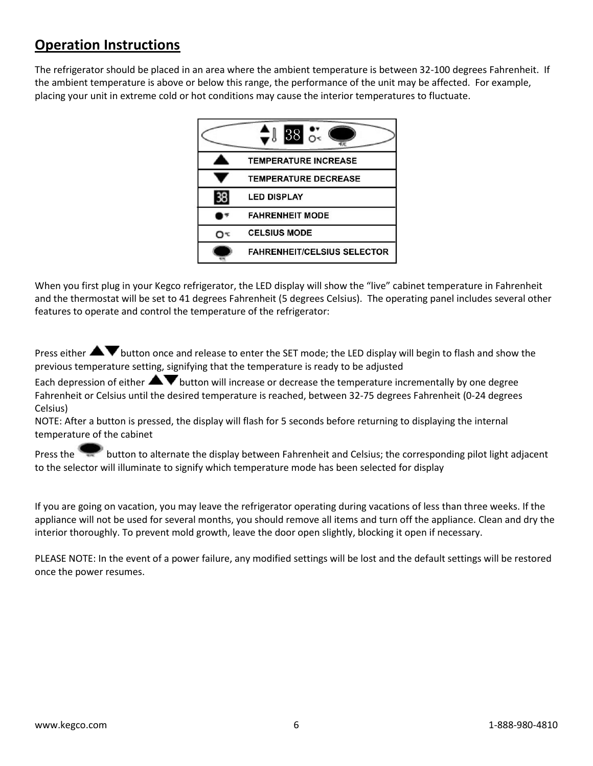### **Operation Instructions**

The refrigerator should be placed in an area where the ambient temperature is between 32-100 degrees Fahrenheit. If the ambient temperature is above or below this range, the performance of the unit may be affected. For example, placing your unit in extreme cold or hot conditions may cause the interior temperatures to fluctuate.



When you first plug in your Kegco refrigerator, the LED display will show the "live" cabinet temperature in Fahrenheit and the thermostat will be set to 41 degrees Fahrenheit (5 degrees Celsius). The operating panel includes several other features to operate and control the temperature of the refrigerator:

Press either **AV** button once and release to enter the SET mode; the LED display will begin to flash and show the previous temperature setting, signifying that the temperature is ready to be adjusted

Each depression of either  $\blacktriangle\blacktriangledown$  button will increase or decrease the temperature incrementally by one degree Fahrenheit or Celsius until the desired temperature is reached, between 32-75 degrees Fahrenheit (0-24 degrees Celsius)

NOTE: After a button is pressed, the display will flash for 5 seconds before returning to displaying the internal temperature of the cabinet

Press the button to alternate the display between Fahrenheit and Celsius; the corresponding pilot light adjacent to the selector will illuminate to signify which temperature mode has been selected for display

If you are going on vacation, you may leave the refrigerator operating during vacations of less than three weeks. If the appliance will not be used for several months, you should remove all items and turn off the appliance. Clean and dry the interior thoroughly. To prevent mold growth, leave the door open slightly, blocking it open if necessary.

PLEASE NOTE: In the event of a power failure, any modified settings will be lost and the default settings will be restored once the power resumes.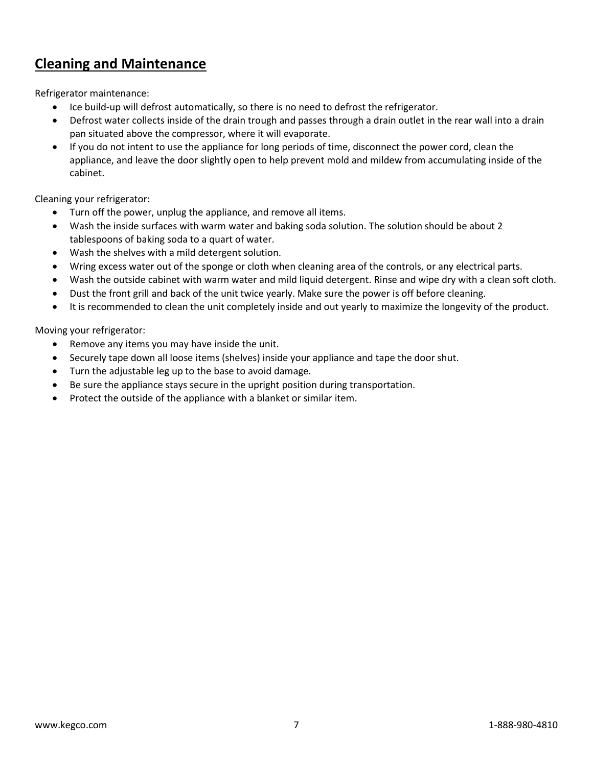### **Cleaning and Maintenance**

Refrigerator maintenance:

- Ice build-up will defrost automatically, so there is no need to defrost the refrigerator.
- Defrost water collects inside of the drain trough and passes through a drain outlet in the rear wall into a drain pan situated above the compressor, where it will evaporate.
- If you do not intent to use the appliance for long periods of time, disconnect the power cord, clean the appliance, and leave the door slightly open to help prevent mold and mildew from accumulating inside of the cabinet.

Cleaning your refrigerator:

- Turn off the power, unplug the appliance, and remove all items.
- Wash the inside surfaces with warm water and baking soda solution. The solution should be about 2 tablespoons of baking soda to a quart of water.
- Wash the shelves with a mild detergent solution.
- Wring excess water out of the sponge or cloth when cleaning area of the controls, or any electrical parts.
- Wash the outside cabinet with warm water and mild liquid detergent. Rinse and wipe dry with a clean soft cloth.
- Dust the front grill and back of the unit twice yearly. Make sure the power is off before cleaning.
- It is recommended to clean the unit completely inside and out yearly to maximize the longevity of the product.

Moving your refrigerator:

- Remove any items you may have inside the unit.
- Securely tape down all loose items (shelves) inside your appliance and tape the door shut.
- Turn the adjustable leg up to the base to avoid damage.
- Be sure the appliance stays secure in the upright position during transportation.
- Protect the outside of the appliance with a blanket or similar item.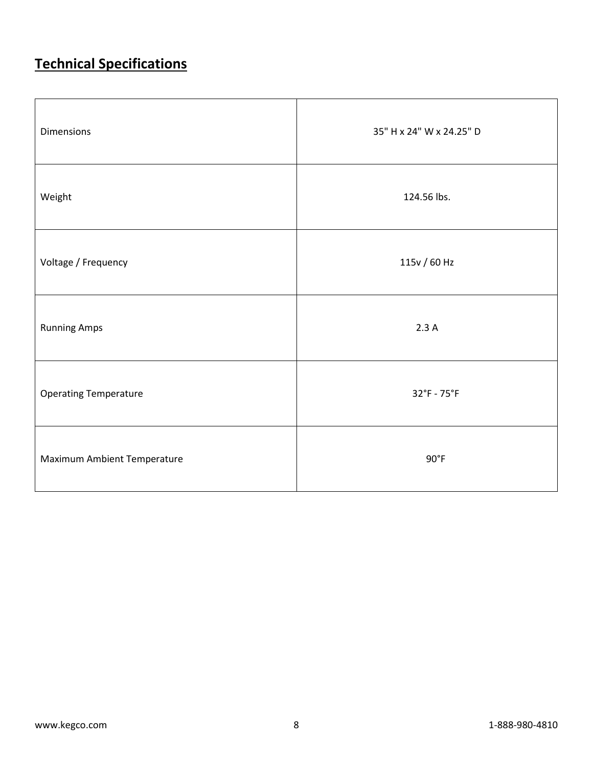# **Technical Specifications**

| <b>Dimensions</b>            | 35" H x 24" W x 24.25" D |
|------------------------------|--------------------------|
| Weight                       | 124.56 lbs.              |
| Voltage / Frequency          | 115v / 60 Hz             |
| <b>Running Amps</b>          | 2.3A                     |
| <b>Operating Temperature</b> | 32°F - 75°F              |
| Maximum Ambient Temperature  | $90^{\circ}$ F           |